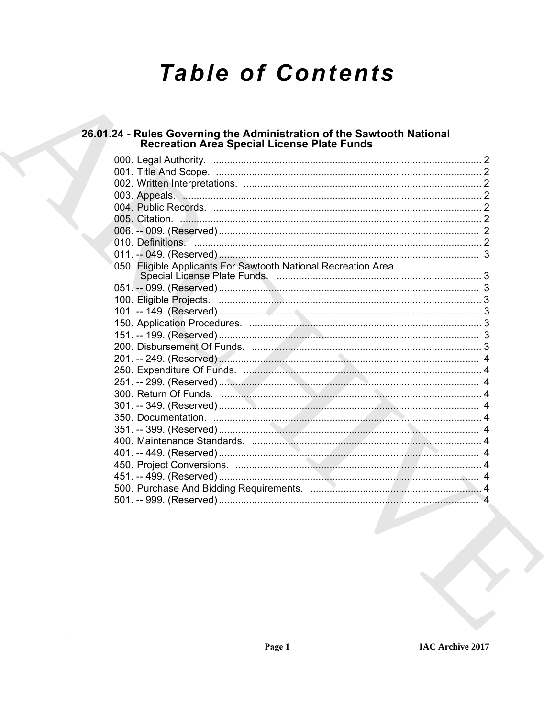# **Table of Contents**

## 26.01.24 - Rules Governing the Administration of the Sawtooth National<br>Recreation Area Special License Plate Funds

| 003. Appeals. Manual Manual Manual Manual Manual Manual Manual Manual Manual Manual Manual Manual Manual Manua |  |
|----------------------------------------------------------------------------------------------------------------|--|
|                                                                                                                |  |
|                                                                                                                |  |
|                                                                                                                |  |
|                                                                                                                |  |
|                                                                                                                |  |
| 050. Eligible Applicants For Sawtooth National Recreation Area                                                 |  |
|                                                                                                                |  |
|                                                                                                                |  |
|                                                                                                                |  |
|                                                                                                                |  |
|                                                                                                                |  |
|                                                                                                                |  |
|                                                                                                                |  |
|                                                                                                                |  |
|                                                                                                                |  |
|                                                                                                                |  |
|                                                                                                                |  |
|                                                                                                                |  |
|                                                                                                                |  |
|                                                                                                                |  |
|                                                                                                                |  |
|                                                                                                                |  |
|                                                                                                                |  |
|                                                                                                                |  |
|                                                                                                                |  |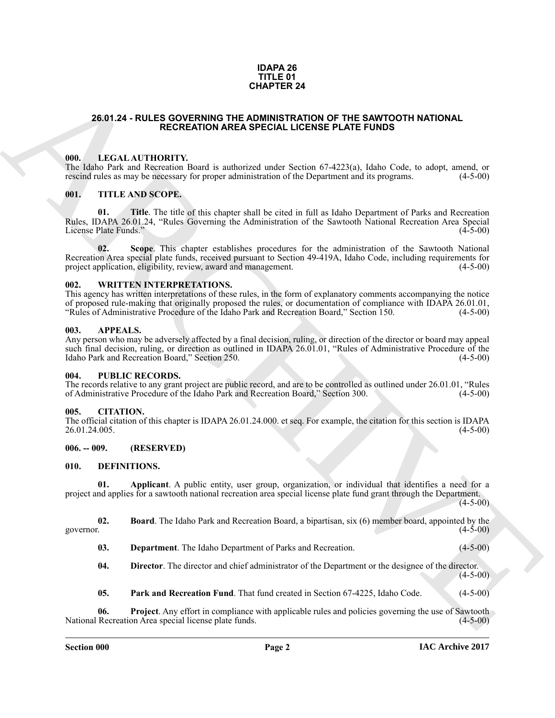#### **IDAPA 26 TITLE 01 CHAPTER 24**

#### <span id="page-1-0"></span>**26.01.24 - RULES GOVERNING THE ADMINISTRATION OF THE SAWTOOTH NATIONAL RECREATION AREA SPECIAL LICENSE PLATE FUNDS**

#### <span id="page-1-1"></span>**000. LEGAL AUTHORITY.**

The Idaho Park and Recreation Board is authorized under Section 67-4223(a), Idaho Code, to adopt, amend, or rescind rules as may be necessary for proper administration of the Department and its programs. (4-5-00)

#### <span id="page-1-2"></span>**001. TITLE AND SCOPE.**

**01. Title**. The title of this chapter shall be cited in full as Idaho Department of Parks and Recreation Rules, IDAPA 26.01.24, "Rules Governing the Administration of the Sawtooth National Recreation Area Special License Plate Funds." (4-5-00) License Plate Funds."

**CHAPTER 24**<br> **CHAPTER 24**<br> **CALCOLATION AREA SPICIAL LICENS PLATE FUNDS<br>
THE LICENS CONFIDENTY Space is anthone and E-Section 6.7 (233) a), fable Code, or adopt, amend, or<br>**  $\pi$  **and the Chapter and the Research Forest an 02. Scope**. This chapter establishes procedures for the administration of the Sawtooth National Recreation Area special plate funds, received pursuant to Section 49-419A, Idaho Code, including requirements for project application, eligibility, review, award and management. (4-5-00)

#### <span id="page-1-3"></span>**002. WRITTEN INTERPRETATIONS.**

This agency has written interpretations of these rules, in the form of explanatory comments accompanying the notice of proposed rule-making that originally proposed the rules, or documentation of compliance with IDAPA 26.01.01,<br>"Rules of Administrative Procedure of the Idaho Park and Recreation Board," Section 150. (4-5-00) "Rules of Administrative Procedure of the Idaho Park and Recreation Board," Section 150.

#### <span id="page-1-4"></span>**003. APPEALS.**

Any person who may be adversely affected by a final decision, ruling, or direction of the director or board may appeal such final decision, ruling, or direction as outlined in IDAPA 26.01.01, "Rules of Administrative Procedure of the<br>Idaho Park and Recreation Board," Section 250. (4-5-00) Idaho Park and Recreation Board," Section 250.

#### <span id="page-1-5"></span>**004. PUBLIC RECORDS.**

The records relative to any grant project are public record, and are to be controlled as outlined under 26.01.01, "Rules of Administrative Procedure of the Idaho Park and Recreation Board," Section 300. (4-5-00)

#### <span id="page-1-6"></span>**005. CITATION.**

The official citation of this chapter is IDAPA 26.01.24.000. et seq. For example, the citation for this section is IDAPA 26.01.24.005. (4-5-00)

#### <span id="page-1-7"></span>**006. -- 009. (RESERVED)**

#### <span id="page-1-9"></span><span id="page-1-8"></span>**010. DEFINITIONS.**

<span id="page-1-10"></span>**01. Applicant**. A public entity, user group, organization, or individual that identifies a need for a project and applies for a sawtooth national recreation area special license plate fund grant through the Department.

 $(4-5-00)$ 

**02. Board**. The Idaho Park and Recreation Board, a bipartisan, six (6) member board, appointed by the (4-5-00) governor.  $(4-5-00)$ 

- <span id="page-1-13"></span><span id="page-1-12"></span><span id="page-1-11"></span>**03. Department**. The Idaho Department of Parks and Recreation. (4-5-00)
- **04. Director**. The director and chief administrator of the Department or the designee of the director.  $(4 - 5 - 00)$
- <span id="page-1-15"></span><span id="page-1-14"></span>**05. Park and Recreation Fund**. That fund created in Section 67-4225, Idaho Code. (4-5-00)

**06. Project**. Any effort in compliance with applicable rules and policies governing the use of Sawtooth Recreation Area special license plate funds. (4-5-00) National Recreation Area special license plate funds.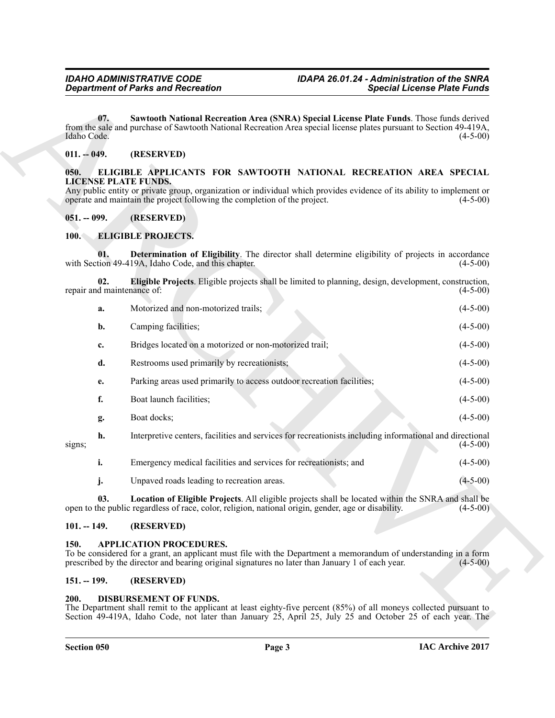#### <span id="page-2-9"></span><span id="page-2-0"></span>**011. -- 049. (RESERVED)**

#### <span id="page-2-11"></span><span id="page-2-1"></span>**050. ELIGIBLE APPLICANTS FOR SAWTOOTH NATIONAL RECREATION AREA SPECIAL LICENSE PLATE FUNDS.**

#### <span id="page-2-2"></span>**051. -- 099. (RESERVED)**

#### <span id="page-2-14"></span><span id="page-2-13"></span><span id="page-2-12"></span><span id="page-2-3"></span>**100. ELIGIBLE PROJECTS.**

|                                     | <b>Department of Parks and Recreation</b>                                                                                                                                                                                                                               | <b>Special License Plate Funds</b> |
|-------------------------------------|-------------------------------------------------------------------------------------------------------------------------------------------------------------------------------------------------------------------------------------------------------------------------|------------------------------------|
| 07.<br>Idaho Code.                  | Sawtooth National Recreation Area (SNRA) Special License Plate Funds. Those funds derived<br>from the sale and purchase of Sawtooth National Recreation Area special license plates pursuant to Section 49-419A,                                                        | $(4-5-00)$                         |
| $011. - 049.$                       | (RESERVED)                                                                                                                                                                                                                                                              |                                    |
| 050.<br><b>LICENSE PLATE FUNDS.</b> | ELIGIBLE APPLICANTS FOR SAWTOOTH NATIONAL RECREATION AREA SPECIAL<br>Any public entity or private group, organization or individual which provides evidence of its ability to implement or<br>operate and maintain the project following the completion of the project. | $(4-5-00)$                         |
| $051. - 099.$                       | (RESERVED)                                                                                                                                                                                                                                                              |                                    |
| <b>100.</b>                         | <b>ELIGIBLE PROJECTS.</b>                                                                                                                                                                                                                                               |                                    |
| 01.                                 | Determination of Eligibility. The director shall determine eligibility of projects in accordance<br>with Section 49-419A, Idaho Code, and this chapter.                                                                                                                 | $(4-5-00)$                         |
| 02.<br>repair and maintenance of:   | Eligible Projects. Eligible projects shall be limited to planning, design, development, construction,                                                                                                                                                                   | $(4-5-00)$                         |
| a.                                  | Motorized and non-motorized trails;                                                                                                                                                                                                                                     | $(4-5-00)$                         |
| b.                                  | Camping facilities;                                                                                                                                                                                                                                                     | $(4-5-00)$                         |
| c.                                  | Bridges located on a motorized or non-motorized trail;                                                                                                                                                                                                                  | $(4-5-00)$                         |
| d.                                  | Restrooms used primarily by recreationists;                                                                                                                                                                                                                             | $(4-5-00)$                         |
| е.                                  | Parking areas used primarily to access outdoor recreation facilities;                                                                                                                                                                                                   | $(4-5-00)$                         |
| f.                                  | Boat launch facilities;                                                                                                                                                                                                                                                 | $(4-5-00)$                         |
| g.                                  | Boat docks;                                                                                                                                                                                                                                                             | $(4-5-00)$                         |
| h.<br>signs;                        | Interpretive centers, facilities and services for recreationists including informational and directional                                                                                                                                                                | $(4-5-00)$                         |
| i.                                  | Emergency medical facilities and services for recreationists; and                                                                                                                                                                                                       | $(4-5-00)$                         |
| j.                                  | Unpaved roads leading to recreation areas.                                                                                                                                                                                                                              | $(4-5-00)$                         |
| 03.                                 | Location of Eligible Projects. All eligible projects shall be located within the SNRA and shall be<br>open to the public regardless of race, color, religion, national origin, gender, age or disability.                                                               | $(4-5-00)$                         |
| $101. - 149.$                       | (RESERVED)                                                                                                                                                                                                                                                              |                                    |
| 150.                                | <b>APPLICATION PROCEDURES.</b><br>To be considered for a grant, an applicant must file with the Department a memorandum of understanding in a form<br>prescribed by the director and bearing original signatures no later than January 1 of each year.                  | $(4-5-00)$                         |
| $151. - 199.$                       | (RESERVED)                                                                                                                                                                                                                                                              |                                    |

#### <span id="page-2-15"></span><span id="page-2-8"></span><span id="page-2-4"></span>**101. -- 149. (RESERVED)**

#### <span id="page-2-5"></span>**150. APPLICATION PROCEDURES.**

#### <span id="page-2-6"></span>**151. -- 199. (RESERVED)**

#### <span id="page-2-10"></span><span id="page-2-7"></span>**200. DISBURSEMENT OF FUNDS.**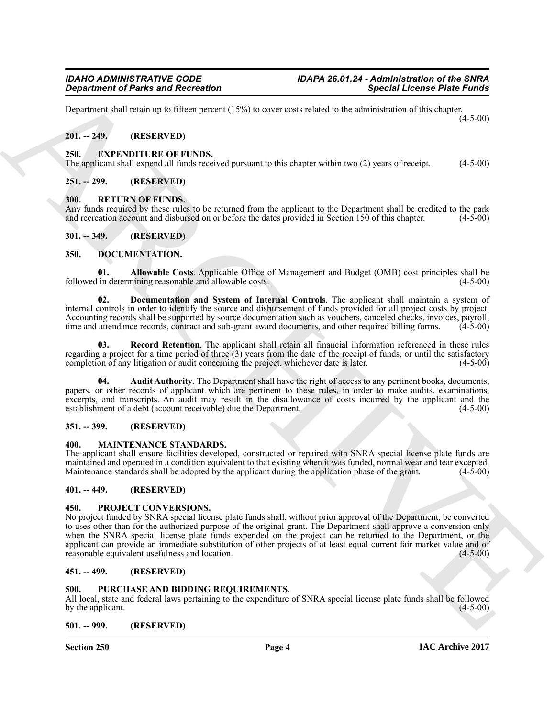Department shall retain up to fifteen percent (15%) to cover costs related to the administration of this chapter.  $(4-5-00)$ 

#### <span id="page-3-0"></span>**201. -- 249. (RESERVED)**

#### <span id="page-3-18"></span><span id="page-3-1"></span>**250. EXPENDITURE OF FUNDS.**

The applicant shall expend all funds received pursuant to this chapter within two (2) years of receipt. (4-5-00)

#### <span id="page-3-2"></span>**251. -- 299. (RESERVED)**

#### <span id="page-3-22"></span><span id="page-3-3"></span>**300. RETURN OF FUNDS.**

Any funds required by these rules to be returned from the applicant to the Department shall be credited to the park and recreation account and disbursed on or before the dates provided in Section 150 of this chapter. (4-5and recreation account and disbursed on or before the dates provided in Section 150 of this chapter.

#### <span id="page-3-4"></span>**301. -- 349. (RESERVED)**

#### <span id="page-3-13"></span><span id="page-3-5"></span>**350. DOCUMENTATION.**

<span id="page-3-14"></span>**01. Allowable Costs**. Applicable Office of Management and Budget (OMB) cost principles shall be followed in determining reasonable and allowable costs.

<span id="page-3-16"></span>**02. Documentation and System of Internal Controls**. The applicant shall maintain a system of internal controls in order to identify the source and disbursement of funds provided for all project costs by project. Accounting records shall be supported by source documentation such as vouchers, canceled checks, invoices, payroll, time and attendance records, contract and sub-grant award documents, and other required billing forms. (4-5-00)

<span id="page-3-17"></span>**03. Record Retention**. The applicant shall retain all financial information referenced in these rules regarding a project for a time period of three (3) years from the date of the receipt of funds, or until the satisfactory completion of any litigation or audit concerning the project, whichever date is later. (4-5-00) completion of any litigation or audit concerning the project, whichever date is later.

<span id="page-3-15"></span>**04. Audit Authority**. The Department shall have the right of access to any pertinent books, documents, papers, or other records of applicant which are pertinent to these rules, in order to make audits, examinations, excerpts, and transcripts. An audit may result in the disallowance of costs incurred by the applicant and the establishment of a debt (account receivable) due the Department. (4-5-00)

#### <span id="page-3-6"></span>**351. -- 399. (RESERVED)**

#### <span id="page-3-19"></span><span id="page-3-7"></span>**400. MAINTENANCE STANDARDS.**

The applicant shall ensure facilities developed, constructed or repaired with SNRA special license plate funds are maintained and operated in a condition equivalent to that existing when it was funded, normal wear and tear excepted.<br>Maintenance standards shall be adopted by the applicant during the application phase of the grant. (4-5-Maintenance standards shall be adopted by the applicant during the application phase of the grant.

#### <span id="page-3-8"></span>**401. -- 449. (RESERVED)**

#### <span id="page-3-20"></span><span id="page-3-9"></span>**450. PROJECT CONVERSIONS.**

**Expariment of Parks and Recreation**<br> **Expariment of Parks and Recreation**<br> **Expariment of Parks and Recreation**<br> **ARCHIVE SECTION (ASSESS)**<br> **ARCHIVE SECTION (ASSESS)**<br> **ARCHIVE SECTION (ASSESS)**<br> **ARCHIVE SECTION (ASSES** No project funded by SNRA special license plate funds shall, without prior approval of the Department, be converted to uses other than for the authorized purpose of the original grant. The Department shall approve a conversion only when the SNRA special license plate funds expended on the project can be returned to the Department, or the applicant can provide an immediate substitution of other projects of at least equal current fair market value and of reasonable equivalent usefulness and location. reasonable equivalent usefulness and location.

#### <span id="page-3-10"></span>**451. -- 499. (RESERVED)**

#### <span id="page-3-21"></span><span id="page-3-11"></span>**500. PURCHASE AND BIDDING REQUIREMENTS.**

All local, state and federal laws pertaining to the expenditure of SNRA special license plate funds shall be followed<br>by the applicant. (4-5-00) by the applicant.

#### <span id="page-3-12"></span>**501. -- 999. (RESERVED)**

**Section 250 Page 4**